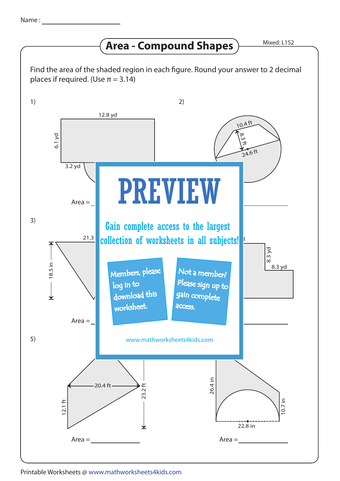## **Area - Compound Shapes**

Find the area of the shaded region in each figure. Round your answer to 2 decimal places if required. (Use  $\pi = 3.14$ )



Printable Worksheets @ www.mathworksheets4kids.com